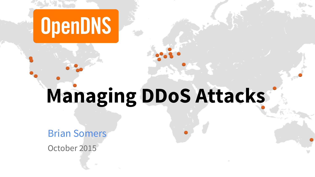

# **Managing DDoS Attacks**

Brian Somers

October 2015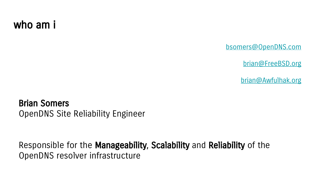#### who am i

[bsomers@OpenDNS.com](mailto:bsomers@OpenDNS.com)

[brian@FreeBSD.org](mailto:brian@FreeBSD.org)

[brian@Awfulhak.org](mailto:brian@Awfulhak.org)

Brian Somers OpenDNS Site Reliability Engineer

Responsible for the Manageability, Scalability and Reliability of the OpenDNS resolver infrastructure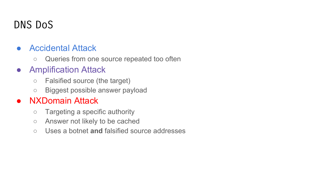# DNS DoS

- **Accidental Attack** 
	- Queries from one source repeated too often
- Amplification Attack
	- Falsified source (the target)
	- Biggest possible answer payload

#### ● NXDomain Attack

- Targeting a specific authority
- Answer not likely to be cached
- Uses a botnet **and** falsified source addresses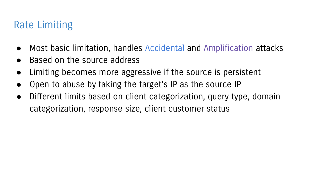# Rate Limiting

- Most basic limitation, handles Accidental and Amplification attacks
- Based on the source address
- Limiting becomes more aggressive if the source is persistent
- Open to abuse by faking the target's IP as the source IP
- Different limits based on client categorization, query type, domain categorization, response size, client customer status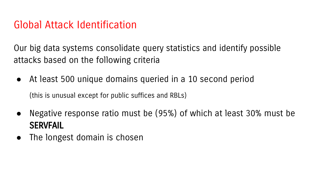#### Global Attack Identification

Our big data systems consolidate query statistics and identify possible attacks based on the following criteria

- At least 500 unique domains queried in a 10 second period (this is unusual except for public suffices and RBLs)
- Negative response ratio must be (95%) of which at least 30% must be SERVFAIL
- The longest domain is chosen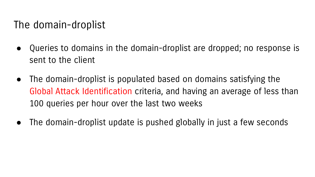### The domain-droplist

- Queries to domains in the domain-droplist are dropped; no response is sent to the client
- The domain-droplist is populated based on domains satisfying the Global Attack Identification criteria, and having an average of less than 100 queries per hour over the last two weeks
- The domain-droplist update is pushed globally in just a few seconds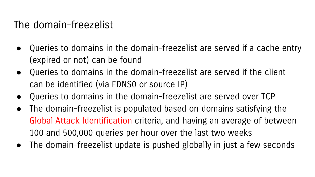### The domain-freezelist

- Queries to domains in the domain-freezelist are served if a cache entry (expired or not) can be found
- Queries to domains in the domain-freezelist are served if the client can be identified (via EDNS0 or source IP)
- Queries to domains in the domain-freezelist are served over TCP
- The domain-freezelist is populated based on domains satisfying the Global Attack Identification criteria, and having an average of between 100 and 500,000 queries per hour over the last two weeks
- The domain-freezelist update is pushed globally in just a few seconds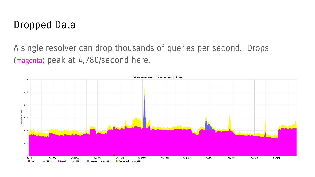#### Dropped Data

#### A single resolver can drop thousands of queries per second. Drops (magenta) peak at 4,780/second here.

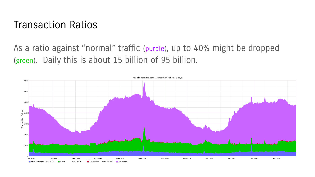#### Transaction Ratios

#### As a ratio against "normal" traffic (purple), up to 40% might be dropped (green). Daily this is about 15 billion of 95 billion.

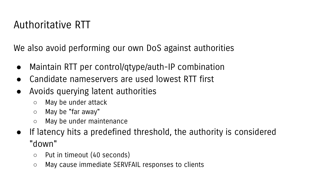# Authoritative RTT

We also avoid performing our own DoS against authorities

- Maintain RTT per control/qtype/auth-IP combination
- Candidate nameservers are used lowest RTT first
- Avoids querying latent authorities
	- May be under attack
	- May be "far away"
	- May be under maintenance
- If latency hits a predefined threshold, the authority is considered "down"
	- Put in timeout (40 seconds)
	- May cause immediate SERVFAIL responses to clients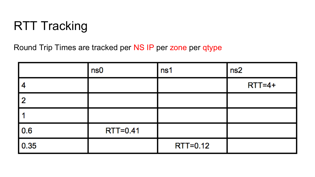# RTT Tracking

Round Trip Times are tracked per NS IP per zone per qtype

|      | ns0             | ns1      | ns2        |
|------|-----------------|----------|------------|
|      |                 |          | $RTT = 4+$ |
| 2    |                 |          |            |
|      |                 |          |            |
| 0.6  | <b>RTT=0.41</b> |          |            |
| 0.35 |                 | RTT=0.12 |            |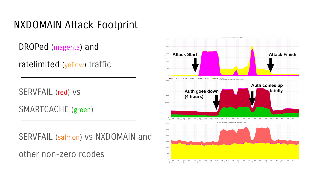# NXDOMAIN Attack Footprint

DROPed (magenta) and

ratelimited (yellow) traffic

SERVFAIL (red) vs

SMARTCACHE (green)

SERVFAIL (salmon) vs NXDOMAIN and

other non-zero rcodes

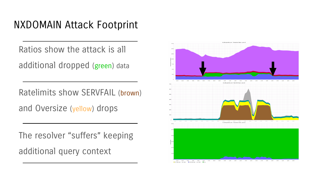# NXDOMAIN Attack Footprint

Ratios show the attack is all additional dropped (green) data

Ratelimits show SERVFAIL (brown) and Oversize (yellow) drops

The resolver "suffers" keeping additional query context

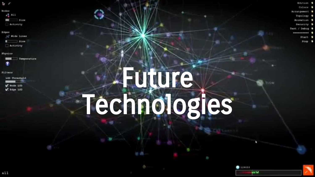- $5/$
- Sodes  $+$   $\frac{1}{2}$  All  $-18100$
- **WESTNATE**
- Edges
- AT Wide Lines
- $-31x+$ Activity
- Physica
	- Temperature
- **FLITHER** 
	- LOD Threshald  $\sqrt{ }$  Node 1.00
	- T Roge 100

# Future Technologies

- Edition 4
- Colors #
- Accampement 9
	- Topology \$
- Animation 5
- Security: 6
- Text / Debug 1
- \*\*\*\*\*\*\*\*\*\*

how

 $129535$ 

**CALL** 

- Start 4
- Stop \$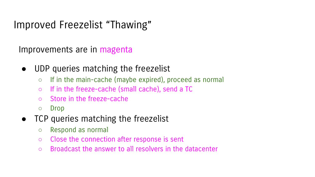# Improved Freezelist "Thawing"

Improvements are in magenta

- UDP queries matching the freezelist
	- If in the main-cache (maybe expired), proceed as normal
	- If in the freeze-cache (small cache), send a TC
	- Store in the freeze-cache
	- Drop
- TCP queries matching the freezelist
	- Respond as normal
	- Close the connection after response is sent
	- Broadcast the answer to all resolvers in the datacenter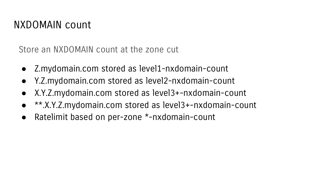# NXDOMAIN count

Store an NXDOMAIN count at the zone cut

- Z.mydomain.com stored as level1-nxdomain-count
- Y.Z.mydomain.com stored as level2-nxdomain-count
- X.Y.Z.mydomain.com stored as level3+-nxdomain-count
- \*\*.X.Y.Z.mydomain.com stored as level3+-nxdomain-count
- Ratelimit based on per-zone \*-nxdomain-count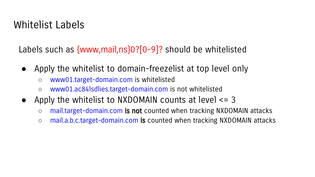# Whitelist Labels

Labels such as {www,mail,ns}0?[0-9]? should be whitelisted

- Apply the whitelist to domain-freezelist at top level only
	- www01.target-domain.com is whitelisted
	- www01.ac84lsdlies.target-domain.com is not whitelisted
- Apply the whitelist to NXDOMAIN counts at level  $\leq 3$ 
	- mail.target-domain.com is not counted when tracking NXDOMAIN attacks
	- mail.a.b.c.target-domain.com is counted when tracking NXDOMAIN attacks